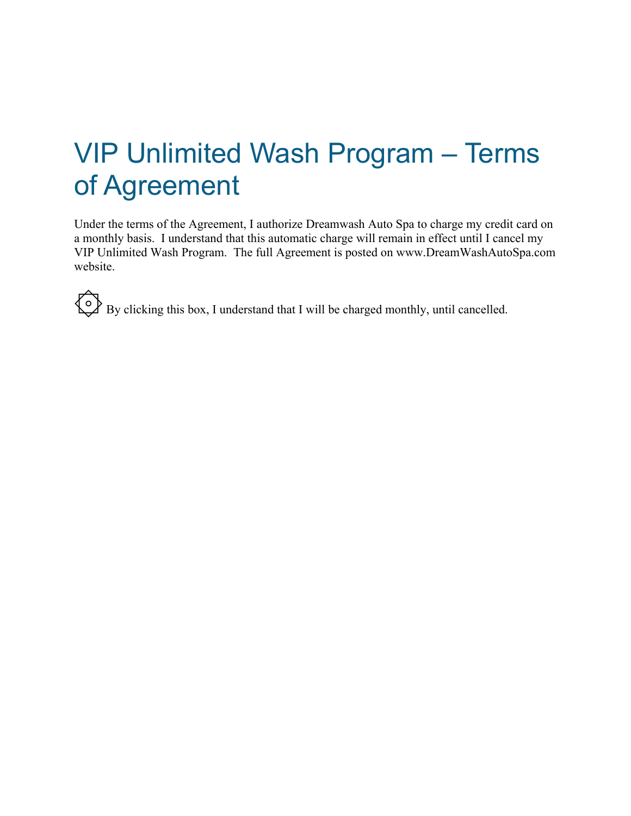# VIP Unlimited Wash Program – Terms of Agreement

Under the terms of the Agreement, I authorize Dreamwash Auto Spa to charge my credit card on a monthly basis. I understand that this automatic charge will remain in effect until I cancel my VIP Unlimited Wash Program. The full Agreement is posted on www.DreamWashAutoSpa.com website.

۞ By clicking this box, I understand that I will be charged monthly, until cancelled.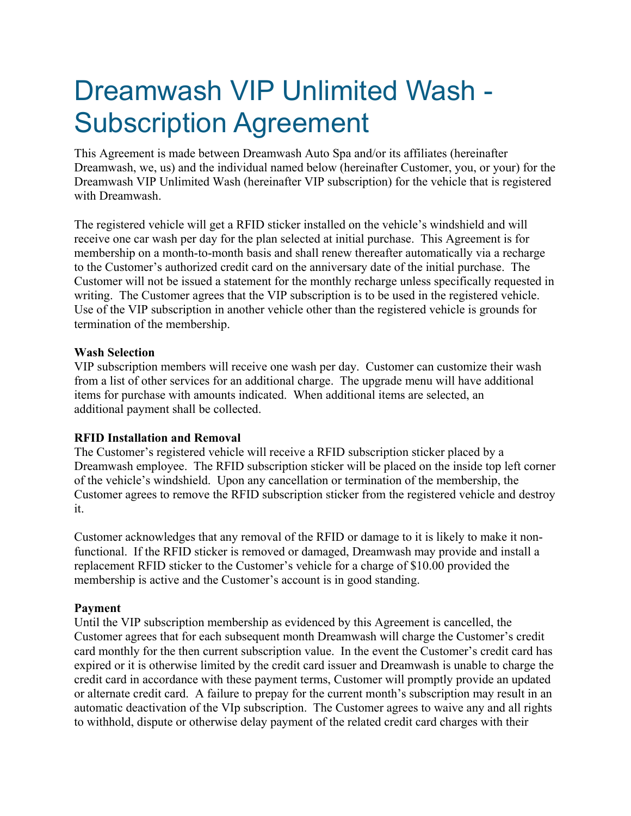## Dreamwash VIP Unlimited Wash - Subscription Agreement

This Agreement is made between Dreamwash Auto Spa and/or its affiliates (hereinafter Dreamwash, we, us) and the individual named below (hereinafter Customer, you, or your) for the Dreamwash VIP Unlimited Wash (hereinafter VIP subscription) for the vehicle that is registered with Dreamwash.

The registered vehicle will get a RFID sticker installed on the vehicle's windshield and will receive one car wash per day for the plan selected at initial purchase. This Agreement is for membership on a month-to-month basis and shall renew thereafter automatically via a recharge to the Customer's authorized credit card on the anniversary date of the initial purchase. The Customer will not be issued a statement for the monthly recharge unless specifically requested in writing. The Customer agrees that the VIP subscription is to be used in the registered vehicle. Use of the VIP subscription in another vehicle other than the registered vehicle is grounds for termination of the membership.

## **Wash Selection**

VIP subscription members will receive one wash per day. Customer can customize their wash from a list of other services for an additional charge. The upgrade menu will have additional items for purchase with amounts indicated. When additional items are selected, an additional payment shall be collected.

#### **RFID Installation and Removal**

The Customer's registered vehicle will receive a RFID subscription sticker placed by a Dreamwash employee. The RFID subscription sticker will be placed on the inside top left corner of the vehicle's windshield. Upon any cancellation or termination of the membership, the Customer agrees to remove the RFID subscription sticker from the registered vehicle and destroy it.

Customer acknowledges that any removal of the RFID or damage to it is likely to make it nonfunctional. If the RFID sticker is removed or damaged, Dreamwash may provide and install a replacement RFID sticker to the Customer's vehicle for a charge of \$10.00 provided the membership is active and the Customer's account is in good standing.

## **Payment**

Until the VIP subscription membership as evidenced by this Agreement is cancelled, the Customer agrees that for each subsequent month Dreamwash will charge the Customer's credit card monthly for the then current subscription value. In the event the Customer's credit card has expired or it is otherwise limited by the credit card issuer and Dreamwash is unable to charge the credit card in accordance with these payment terms, Customer will promptly provide an updated or alternate credit card. A failure to prepay for the current month's subscription may result in an automatic deactivation of the VIp subscription. The Customer agrees to waive any and all rights to withhold, dispute or otherwise delay payment of the related credit card charges with their